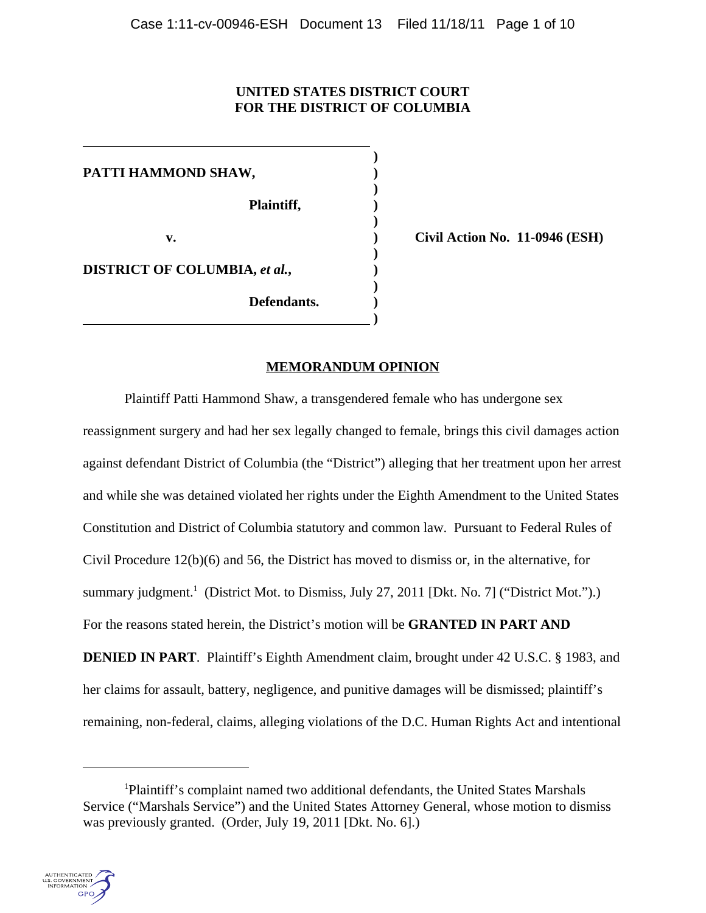# **UNITED STATES DISTRICT COURT FOR THE DISTRICT OF COLUMBIA**

**)**

**)**

**)**

**)**

**)**

**PATTI HAMMOND SHAW, ) Plaintiff, ) DISTRICT OF COLUMBIA,** *et al.***, ) Defendants. )**

 **)**

**v. ) Civil Action No. 11-0946 (ESH)**

## **MEMORANDUM OPINION**

Plaintiff Patti Hammond Shaw, a transgendered female who has undergone sex reassignment surgery and had her sex legally changed to female, brings this civil damages action against defendant District of Columbia (the "District") alleging that her treatment upon her arrest and while she was detained violated her rights under the Eighth Amendment to the United States Constitution and District of Columbia statutory and common law. Pursuant to Federal Rules of Civil Procedure 12(b)(6) and 56, the District has moved to dismiss or, in the alternative, for summary judgment.<sup>1</sup> (District Mot. to Dismiss, July 27, 2011 [Dkt. No. 7] ("District Mot.").) For the reasons stated herein, the District's motion will be **GRANTED IN PART AND DENIED IN PART.** Plaintiff's Eighth Amendment claim, brought under 42 U.S.C. § 1983, and her claims for assault, battery, negligence, and punitive damages will be dismissed; plaintiff's remaining, non-federal, claims, alleging violations of the D.C. Human Rights Act and intentional

<sup>&</sup>lt;sup>1</sup>Plaintiff's complaint named two additional defendants, the United States Marshals Service ("Marshals Service") and the United States Attorney General, whose motion to dismiss was previously granted. (Order, July 19, 2011 [Dkt. No. 6].)

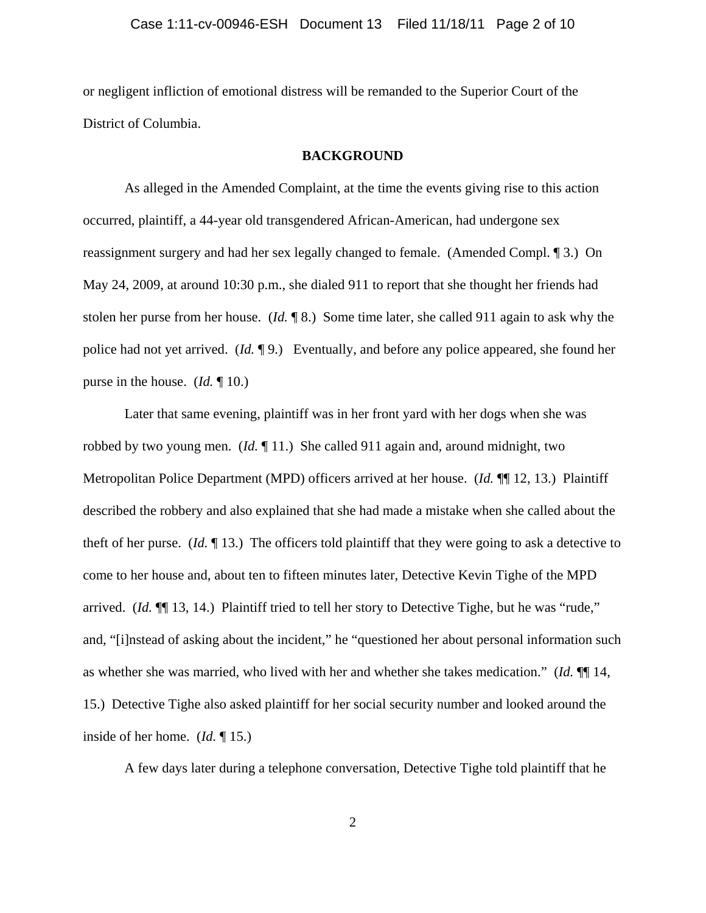or negligent infliction of emotional distress will be remanded to the Superior Court of the District of Columbia.

#### **BACKGROUND**

As alleged in the Amended Complaint, at the time the events giving rise to this action occurred, plaintiff, a 44-year old transgendered African-American, had undergone sex reassignment surgery and had her sex legally changed to female. (Amended Compl. ¶ 3.) On May 24, 2009, at around 10:30 p.m., she dialed 911 to report that she thought her friends had stolen her purse from her house. (*Id.* ¶ 8.) Some time later, she called 911 again to ask why the police had not yet arrived. (*Id.* ¶ 9.) Eventually, and before any police appeared, she found her purse in the house. (*Id.* ¶ 10.)

Later that same evening, plaintiff was in her front yard with her dogs when she was robbed by two young men. (*Id.* ¶ 11.) She called 911 again and, around midnight, two Metropolitan Police Department (MPD) officers arrived at her house. (*Id.* ¶¶ 12, 13.) Plaintiff described the robbery and also explained that she had made a mistake when she called about the theft of her purse. (*Id.* ¶ 13.) The officers told plaintiff that they were going to ask a detective to come to her house and, about ten to fifteen minutes later, Detective Kevin Tighe of the MPD arrived. (*Id.* ¶¶ 13, 14.) Plaintiff tried to tell her story to Detective Tighe, but he was "rude," and, "[i]nstead of asking about the incident," he "questioned her about personal information such as whether she was married, who lived with her and whether she takes medication." (*Id.* ¶¶ 14, 15.) Detective Tighe also asked plaintiff for her social security number and looked around the inside of her home. (*Id.* ¶ 15.)

A few days later during a telephone conversation, Detective Tighe told plaintiff that he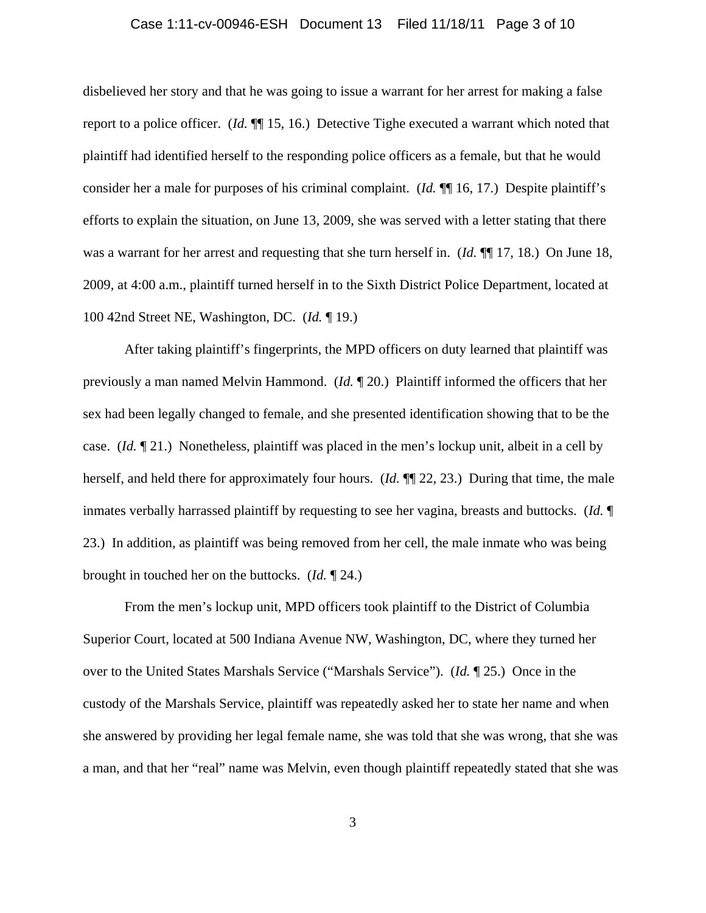### Case 1:11-cv-00946-ESH Document 13 Filed 11/18/11 Page 3 of 10

disbelieved her story and that he was going to issue a warrant for her arrest for making a false report to a police officer. (*Id.* ¶¶ 15, 16.) Detective Tighe executed a warrant which noted that plaintiff had identified herself to the responding police officers as a female, but that he would consider her a male for purposes of his criminal complaint. (*Id.* ¶¶ 16, 17.) Despite plaintiff's efforts to explain the situation, on June 13, 2009, she was served with a letter stating that there was a warrant for her arrest and requesting that she turn herself in. (*Id.* ¶¶ 17, 18.) On June 18, 2009, at 4:00 a.m., plaintiff turned herself in to the Sixth District Police Department, located at 100 42nd Street NE, Washington, DC. (*Id.* ¶ 19.)

After taking plaintiff's fingerprints, the MPD officers on duty learned that plaintiff was previously a man named Melvin Hammond. (*Id.* ¶ 20.) Plaintiff informed the officers that her sex had been legally changed to female, and she presented identification showing that to be the case. (*Id.* ¶ 21.) Nonetheless, plaintiff was placed in the men's lockup unit, albeit in a cell by herself, and held there for approximately four hours. (*Id.* ¶¶ 22, 23.) During that time, the male inmates verbally harrassed plaintiff by requesting to see her vagina, breasts and buttocks. (*Id.* ¶ 23.) In addition, as plaintiff was being removed from her cell, the male inmate who was being brought in touched her on the buttocks. (*Id.* ¶ 24.)

From the men's lockup unit, MPD officers took plaintiff to the District of Columbia Superior Court, located at 500 Indiana Avenue NW, Washington, DC, where they turned her over to the United States Marshals Service ("Marshals Service"). (*Id.* ¶ 25.) Once in the custody of the Marshals Service, plaintiff was repeatedly asked her to state her name and when she answered by providing her legal female name, she was told that she was wrong, that she was a man, and that her "real" name was Melvin, even though plaintiff repeatedly stated that she was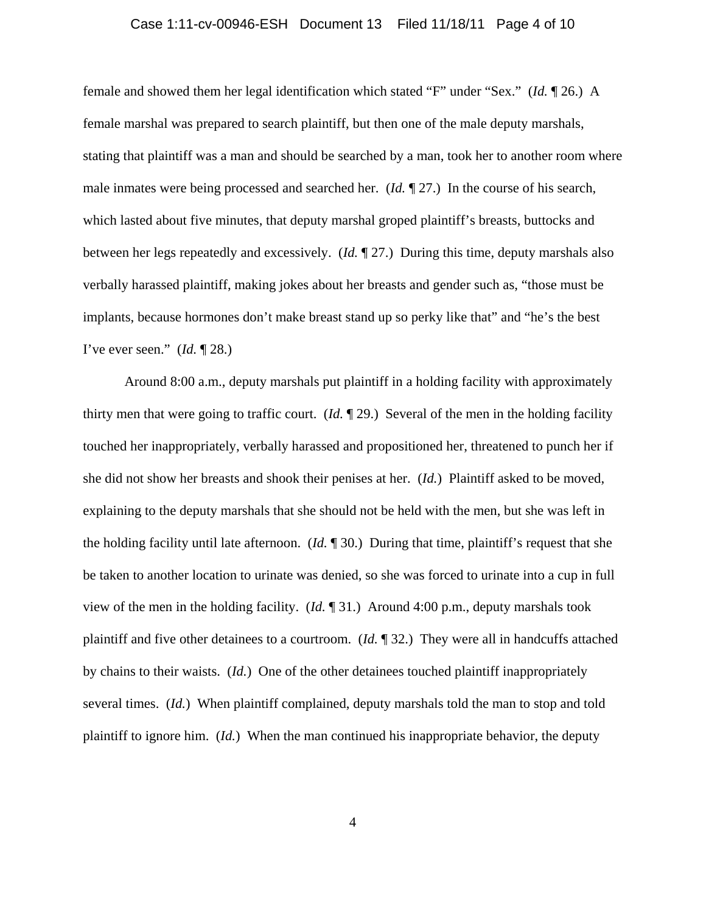### Case 1:11-cv-00946-ESH Document 13 Filed 11/18/11 Page 4 of 10

female and showed them her legal identification which stated "F" under "Sex." (*Id.* ¶ 26.) A female marshal was prepared to search plaintiff, but then one of the male deputy marshals, stating that plaintiff was a man and should be searched by a man, took her to another room where male inmates were being processed and searched her. (*Id.* ¶ 27.) In the course of his search, which lasted about five minutes, that deputy marshal groped plaintiff's breasts, buttocks and between her legs repeatedly and excessively. (*Id.* ¶ 27.) During this time, deputy marshals also verbally harassed plaintiff, making jokes about her breasts and gender such as, "those must be implants, because hormones don't make breast stand up so perky like that" and "he's the best I've ever seen." (*Id.* ¶ 28.)

Around 8:00 a.m., deputy marshals put plaintiff in a holding facility with approximately thirty men that were going to traffic court. (*Id.* ¶ 29.) Several of the men in the holding facility touched her inappropriately, verbally harassed and propositioned her, threatened to punch her if she did not show her breasts and shook their penises at her. (*Id.*) Plaintiff asked to be moved, explaining to the deputy marshals that she should not be held with the men, but she was left in the holding facility until late afternoon. (*Id.* ¶ 30.) During that time, plaintiff's request that she be taken to another location to urinate was denied, so she was forced to urinate into a cup in full view of the men in the holding facility. (*Id.* ¶ 31.) Around 4:00 p.m., deputy marshals took plaintiff and five other detainees to a courtroom. (*Id.* ¶ 32.) They were all in handcuffs attached by chains to their waists. (*Id.*) One of the other detainees touched plaintiff inappropriately several times. (*Id.*) When plaintiff complained, deputy marshals told the man to stop and told plaintiff to ignore him. (*Id.*) When the man continued his inappropriate behavior, the deputy

4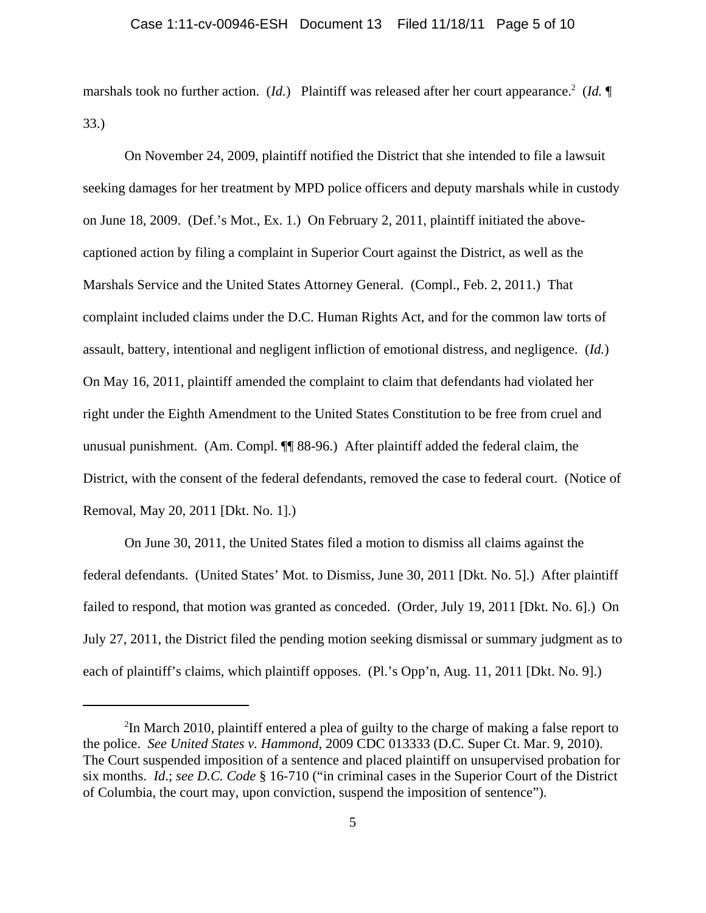### Case 1:11-cv-00946-ESH Document 13 Filed 11/18/11 Page 5 of 10

marshals took no further action. (*Id.*) Plaintiff was released after her court appearance.<sup>2</sup> (*Id.*  $\P$ 33.)

On November 24, 2009, plaintiff notified the District that she intended to file a lawsuit seeking damages for her treatment by MPD police officers and deputy marshals while in custody on June 18, 2009. (Def.'s Mot., Ex. 1.) On February 2, 2011, plaintiff initiated the abovecaptioned action by filing a complaint in Superior Court against the District, as well as the Marshals Service and the United States Attorney General. (Compl., Feb. 2, 2011.) That complaint included claims under the D.C. Human Rights Act, and for the common law torts of assault, battery, intentional and negligent infliction of emotional distress, and negligence. (*Id.*) On May 16, 2011, plaintiff amended the complaint to claim that defendants had violated her right under the Eighth Amendment to the United States Constitution to be free from cruel and unusual punishment. (Am. Compl. ¶¶ 88-96.) After plaintiff added the federal claim, the District, with the consent of the federal defendants, removed the case to federal court. (Notice of Removal, May 20, 2011 [Dkt. No. 1].)

On June 30, 2011, the United States filed a motion to dismiss all claims against the federal defendants. (United States' Mot. to Dismiss, June 30, 2011 [Dkt. No. 5].) After plaintiff failed to respond, that motion was granted as conceded. (Order, July 19, 2011 [Dkt. No. 6].) On July 27, 2011, the District filed the pending motion seeking dismissal or summary judgment as to each of plaintiff's claims, which plaintiff opposes. (Pl.'s Opp'n, Aug. 11, 2011 [Dkt. No. 9].)

<sup>&</sup>lt;sup>2</sup>In March 2010, plaintiff entered a plea of guilty to the charge of making a false report to the police. *See United States v. Hammond*, 2009 CDC 013333 (D.C. Super Ct. Mar. 9, 2010). The Court suspended imposition of a sentence and placed plaintiff on unsupervised probation for six months. *Id*.; *see D.C. Code* § 16-710 ("in criminal cases in the Superior Court of the District of Columbia, the court may, upon conviction, suspend the imposition of sentence").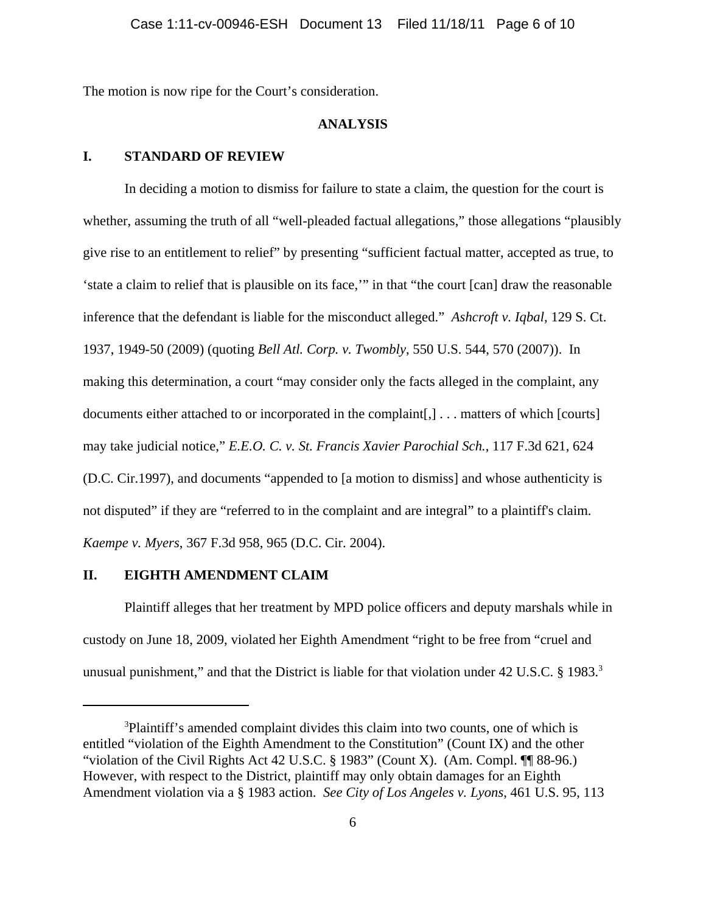The motion is now ripe for the Court's consideration.

### **ANALYSIS**

## **I. STANDARD OF REVIEW**

In deciding a motion to dismiss for failure to state a claim, the question for the court is whether, assuming the truth of all "well-pleaded factual allegations," those allegations "plausibly give rise to an entitlement to relief" by presenting "sufficient factual matter, accepted as true, to 'state a claim to relief that is plausible on its face,'" in that "the court [can] draw the reasonable inference that the defendant is liable for the misconduct alleged." *Ashcroft v. Iqbal*, 129 S. Ct. 1937, 1949-50 (2009) (quoting *Bell Atl. Corp. v. Twombly*, 550 U.S. 544, 570 (2007)). In making this determination, a court "may consider only the facts alleged in the complaint, any documents either attached to or incorporated in the complaint[,] . . . matters of which [courts] may take judicial notice," *E.E.O. C. v. St. Francis Xavier Parochial Sch.*, 117 F.3d 621, 624 (D.C. Cir.1997), and documents "appended to [a motion to dismiss] and whose authenticity is not disputed" if they are "referred to in the complaint and are integral" to a plaintiff's claim. *Kaempe v. Myers*, 367 F.3d 958, 965 (D.C. Cir. 2004).

### **II. EIGHTH AMENDMENT CLAIM**

Plaintiff alleges that her treatment by MPD police officers and deputy marshals while in custody on June 18, 2009, violated her Eighth Amendment "right to be free from "cruel and unusual punishment," and that the District is liable for that violation under 42 U.S.C. § 1983.<sup>3</sup>

<sup>&</sup>lt;sup>3</sup>Plaintiff's amended complaint divides this claim into two counts, one of which is entitled "violation of the Eighth Amendment to the Constitution" (Count IX) and the other "violation of the Civil Rights Act 42 U.S.C. § 1983" (Count X). (Am. Compl. ¶¶ 88-96.) However, with respect to the District, plaintiff may only obtain damages for an Eighth Amendment violation via a § 1983 action. *See City of Los Angeles v. Lyons*, 461 U.S. 95, 113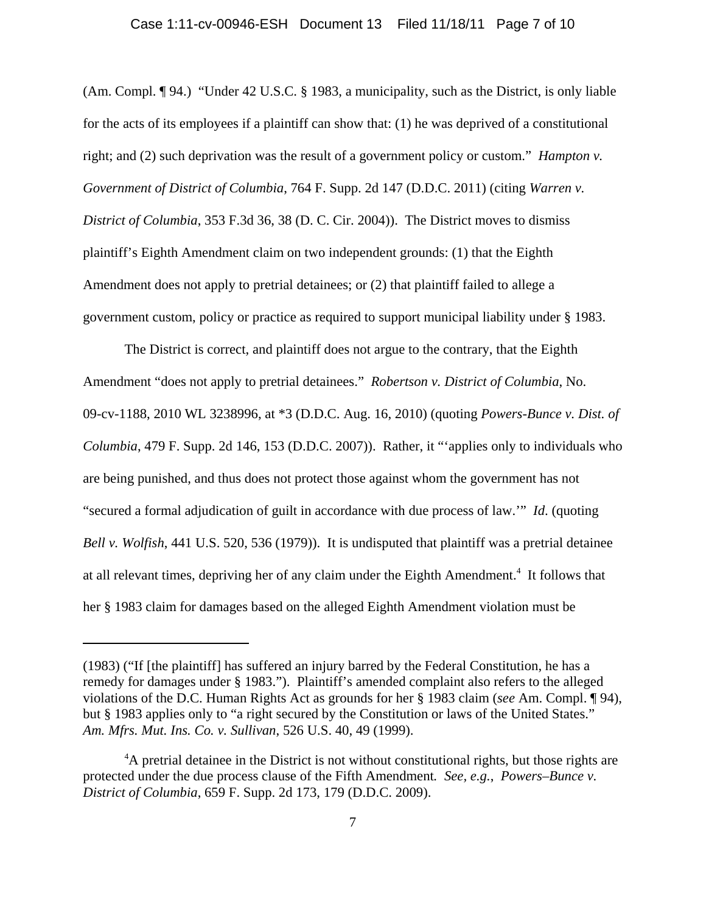### Case 1:11-cv-00946-ESH Document 13 Filed 11/18/11 Page 7 of 10

(Am. Compl. ¶ 94.) "Under 42 U.S.C. § 1983, a municipality, such as the District, is only liable for the acts of its employees if a plaintiff can show that: (1) he was deprived of a constitutional right; and (2) such deprivation was the result of a government policy or custom." *Hampton v. Government of District of Columbia*, 764 F. Supp. 2d 147 (D.D.C. 2011) (citing *Warren v. District of Columbia*, 353 F.3d 36, 38 (D. C. Cir. 2004)). The District moves to dismiss plaintiff's Eighth Amendment claim on two independent grounds: (1) that the Eighth Amendment does not apply to pretrial detainees; or (2) that plaintiff failed to allege a government custom, policy or practice as required to support municipal liability under § 1983.

The District is correct, and plaintiff does not argue to the contrary, that the Eighth Amendment "does not apply to pretrial detainees." *Robertson v. District of Columbia*, No. 09-cv-1188, 2010 WL 3238996, at \*3 (D.D.C. Aug. 16, 2010) (quoting *Powers-Bunce v. Dist. of Columbia*, 479 F. Supp. 2d 146, 153 (D.D.C. 2007)). Rather, it "'applies only to individuals who are being punished, and thus does not protect those against whom the government has not "secured a formal adjudication of guilt in accordance with due process of law.'" *Id*. (quoting *Bell v. Wolfish*, 441 U.S. 520, 536 (1979)). It is undisputed that plaintiff was a pretrial detainee at all relevant times, depriving her of any claim under the Eighth Amendment.<sup>4</sup> It follows that her § 1983 claim for damages based on the alleged Eighth Amendment violation must be

<sup>(1983) (&</sup>quot;If [the plaintiff] has suffered an injury barred by the Federal Constitution, he has a remedy for damages under § 1983."). Plaintiff's amended complaint also refers to the alleged violations of the D.C. Human Rights Act as grounds for her § 1983 claim (*see* Am. Compl. ¶ 94), but § 1983 applies only to "a right secured by the Constitution or laws of the United States." *Am. Mfrs. Mut. Ins. Co. v. Sullivan*, 526 U.S. 40, 49 (1999).

<sup>&</sup>lt;sup>4</sup>A pretrial detainee in the District is not without constitutional rights, but those rights are protected under the due process clause of the Fifth Amendment*. See, e.g.*, *Powers–Bunce v. District of Columbia*, 659 F. Supp. 2d 173, 179 (D.D.C. 2009).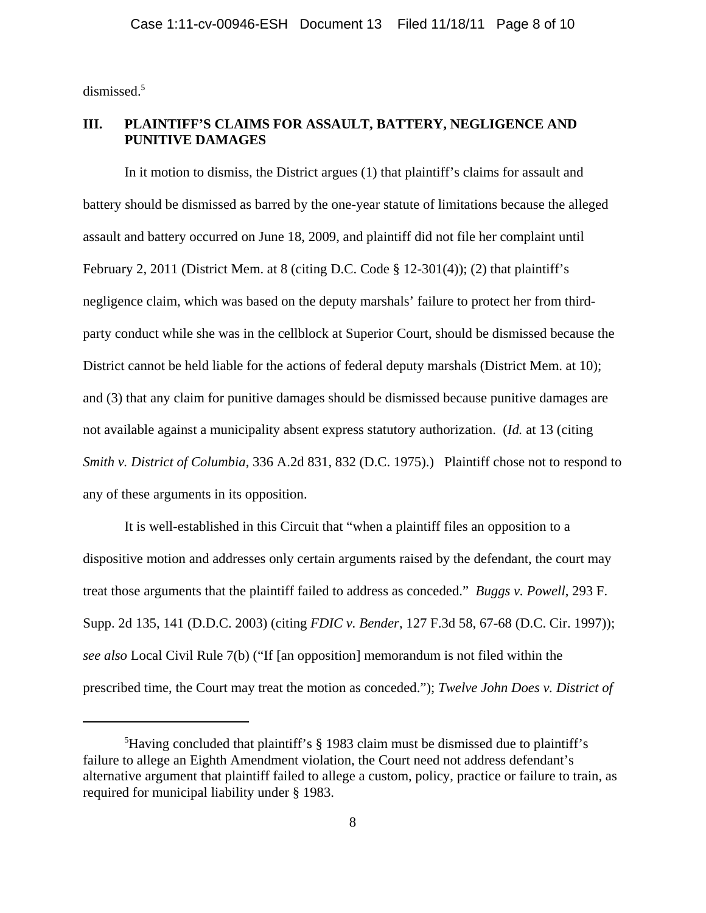dismissed.<sup>5</sup>

# **III. PLAINTIFF'S CLAIMS FOR ASSAULT, BATTERY, NEGLIGENCE AND PUNITIVE DAMAGES**

In it motion to dismiss, the District argues (1) that plaintiff's claims for assault and battery should be dismissed as barred by the one-year statute of limitations because the alleged assault and battery occurred on June 18, 2009, and plaintiff did not file her complaint until February 2, 2011 (District Mem. at 8 (citing D.C. Code § 12-301(4)); (2) that plaintiff's negligence claim, which was based on the deputy marshals' failure to protect her from thirdparty conduct while she was in the cellblock at Superior Court, should be dismissed because the District cannot be held liable for the actions of federal deputy marshals (District Mem. at 10); and (3) that any claim for punitive damages should be dismissed because punitive damages are not available against a municipality absent express statutory authorization. (*Id.* at 13 (citing *Smith v. District of Columbia*, 336 A.2d 831, 832 (D.C. 1975).) Plaintiff chose not to respond to any of these arguments in its opposition.

It is well-established in this Circuit that "when a plaintiff files an opposition to a dispositive motion and addresses only certain arguments raised by the defendant, the court may treat those arguments that the plaintiff failed to address as conceded." *Buggs v. Powell*, 293 F. Supp. 2d 135, 141 (D.D.C. 2003) (citing *FDIC v. Bender*, 127 F.3d 58, 67-68 (D.C. Cir. 1997)); *see also* Local Civil Rule 7(b) ("If [an opposition] memorandum is not filed within the prescribed time, the Court may treat the motion as conceded."); *Twelve John Does v. District of*

<sup>&</sup>lt;sup>5</sup>Having concluded that plaintiff's § 1983 claim must be dismissed due to plaintiff's failure to allege an Eighth Amendment violation, the Court need not address defendant's alternative argument that plaintiff failed to allege a custom, policy, practice or failure to train, as required for municipal liability under § 1983.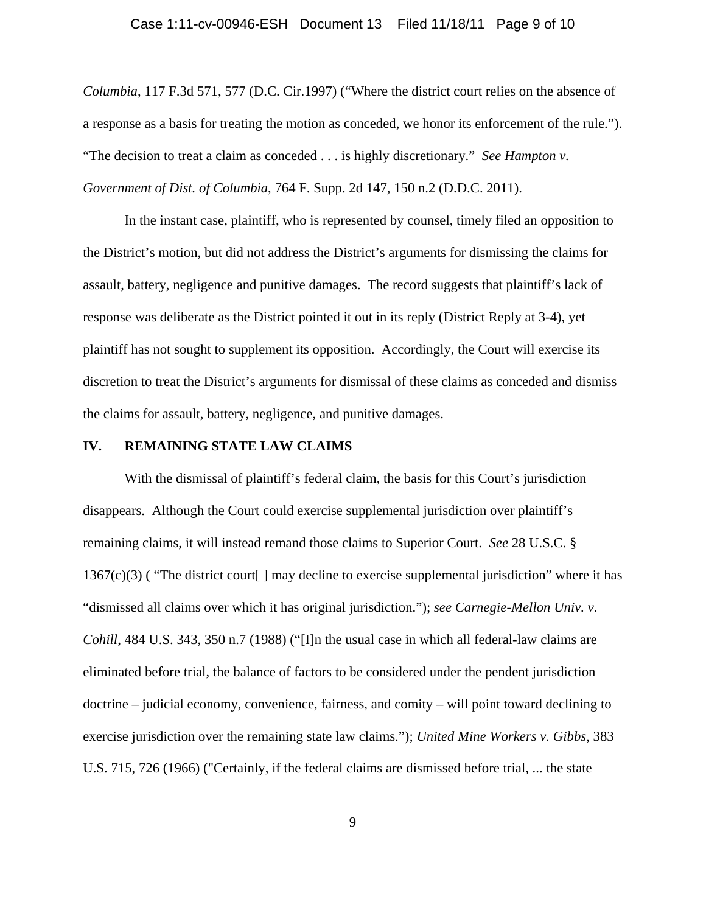### Case 1:11-cv-00946-ESH Document 13 Filed 11/18/11 Page 9 of 10

*Columbia*, 117 F.3d 571, 577 (D.C. Cir.1997) ("Where the district court relies on the absence of a response as a basis for treating the motion as conceded, we honor its enforcement of the rule."). "The decision to treat a claim as conceded . . . is highly discretionary." *See Hampton v. Government of Dist. of Columbia*, 764 F. Supp. 2d 147, 150 n.2 (D.D.C. 2011).

In the instant case, plaintiff, who is represented by counsel, timely filed an opposition to the District's motion, but did not address the District's arguments for dismissing the claims for assault, battery, negligence and punitive damages. The record suggests that plaintiff's lack of response was deliberate as the District pointed it out in its reply (District Reply at 3-4), yet plaintiff has not sought to supplement its opposition. Accordingly, the Court will exercise its discretion to treat the District's arguments for dismissal of these claims as conceded and dismiss the claims for assault, battery, negligence, and punitive damages.

### **IV. REMAINING STATE LAW CLAIMS**

With the dismissal of plaintiff's federal claim, the basis for this Court's jurisdiction disappears. Although the Court could exercise supplemental jurisdiction over plaintiff's remaining claims, it will instead remand those claims to Superior Court. *See* 28 U.S.C. § 1367(c)(3) ( "The district court[ ] may decline to exercise supplemental jurisdiction" where it has "dismissed all claims over which it has original jurisdiction."); *see Carnegie-Mellon Univ. v. Cohill*, 484 U.S. 343, 350 n.7 (1988) ("[I]n the usual case in which all federal-law claims are eliminated before trial, the balance of factors to be considered under the pendent jurisdiction doctrine – judicial economy, convenience, fairness, and comity – will point toward declining to exercise jurisdiction over the remaining state law claims."); *United Mine Workers v. Gibbs*, 383 U.S. 715, 726 (1966) ("Certainly, if the federal claims are dismissed before trial, ... the state